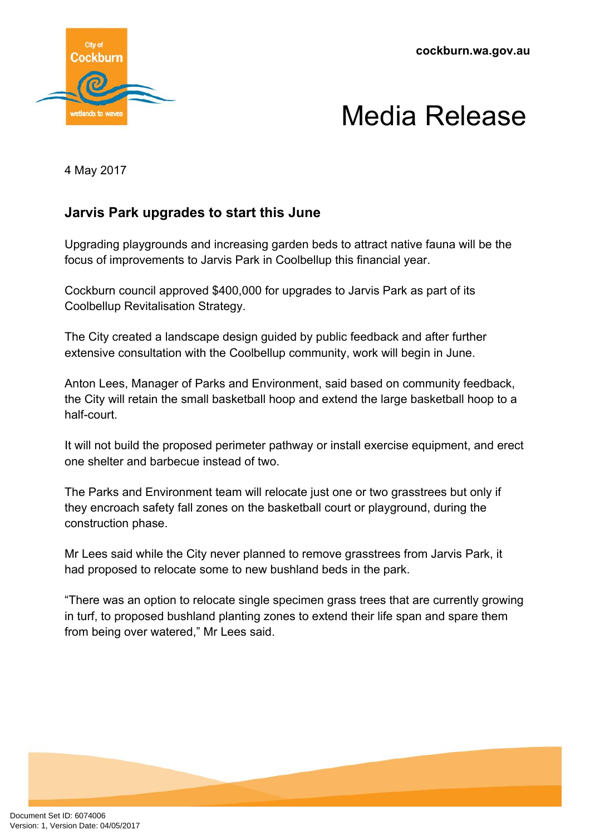**cockburn.wa.gov.au**





4 May 2017

## **Jarvis Park upgrades to start this June**

Upgrading playgrounds and increasing garden beds to attract native fauna will be the focus of improvements to Jarvis Park in Coolbellup this financial year.

Cockburn council approved \$400,000 for upgrades to Jarvis Park as part of its Coolbellup Revitalisation Strategy.

The City created a landscape design guided by public feedback and after further extensive consultation with the Coolbellup community, work will begin in June.

Anton Lees, Manager of Parks and Environment, said based on community feedback, the City will retain the small basketball hoop and extend the large basketball hoop to a half-court.

It will not build the proposed perimeter pathway or install exercise equipment, and erect one shelter and barbecue instead of two.

The Parks and Environment team will relocate just one or two grasstrees but only if they encroach safety fall zones on the basketball court or playground, during the construction phase.

Mr Lees said while the City never planned to remove grasstrees from Jarvis Park, it had proposed to relocate some to new bushland beds in the park.

"There was an option to relocate single specimen grass trees that are currently growing in turf, to proposed bushland planting zones to extend their life span and spare them from being over watered," Mr Lees said.